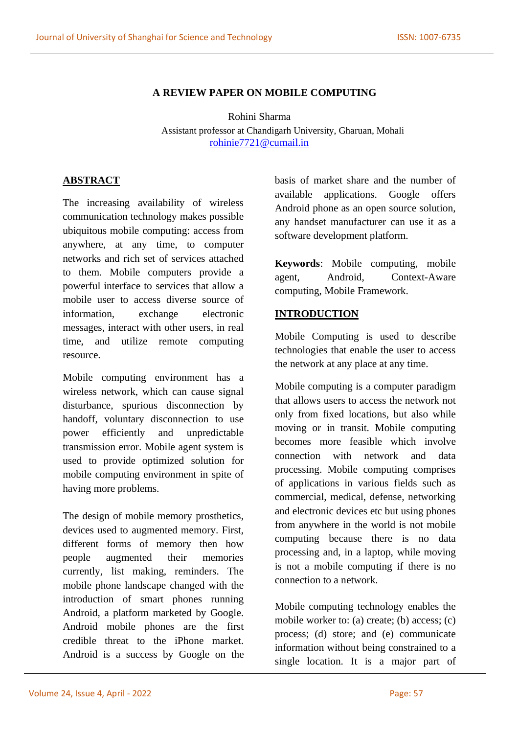### **A REVIEW PAPER ON MOBILE COMPUTING**

Rohini Sharma Assistant professor at Chandigarh University, Gharuan, Mohali [rohinie7721@cumail.in](mailto:rohinie7721@cumail.in)

### **ABSTRACT**

The increasing availability of wireless communication technology makes possible ubiquitous mobile computing: access from anywhere, at any time, to computer networks and rich set of services attached to them. Mobile computers provide a powerful interface to services that allow a mobile user to access diverse source of information, exchange electronic messages, interact with other users, in real time, and utilize remote computing resource.

Mobile computing environment has a wireless network, which can cause signal disturbance, spurious disconnection by handoff, voluntary disconnection to use power efficiently and unpredictable transmission error. Mobile agent system is used to provide optimized solution for mobile computing environment in spite of having more problems.

The design of mobile memory prosthetics, devices used to augmented memory. First, different forms of memory then how people augmented their memories currently, list making, reminders. The mobile phone landscape changed with the introduction of smart phones running Android, a platform marketed by Google. Android mobile phones are the first credible threat to the iPhone market. Android is a success by Google on the basis of market share and the number of available applications. Google offers Android phone as an open source solution, any handset manufacturer can use it as a software development platform.

**Keywords**: Mobile computing, mobile agent, Android, Context-Aware computing, Mobile Framework.

# **INTRODUCTION**

Mobile Computing is used to describe technologies that enable the user to access the network at any place at any time.

Mobile computing is a computer paradigm that allows users to access the network not only from fixed locations, but also while moving or in transit. Mobile computing becomes more feasible which involve connection with network and data processing. Mobile computing comprises of applications in various fields such as commercial, medical, defense, networking and electronic devices etc but using phones from anywhere in the world is not mobile computing because there is no data processing and, in a laptop, while moving is not a mobile computing if there is no connection to a network.

Mobile computing technology enables the mobile worker to: (a) create; (b) access; (c) process; (d) store; and (e) communicate information without being constrained to a single location. It is a major part of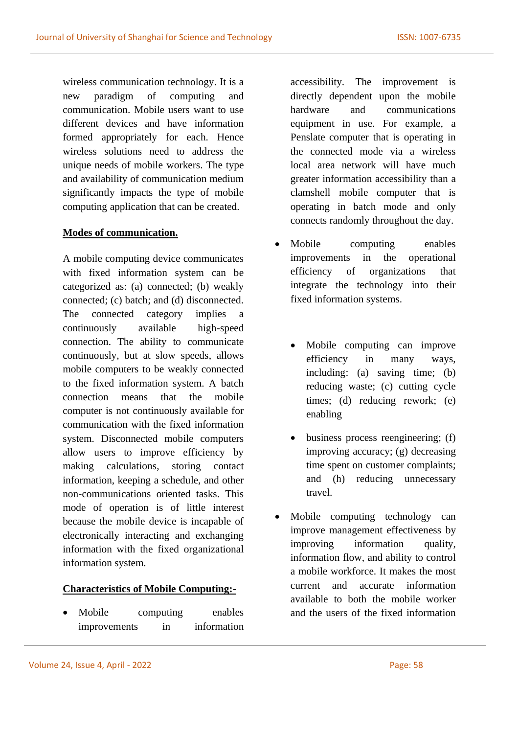wireless communication technology. It is a new paradigm of computing and communication. Mobile users want to use different devices and have information formed appropriately for each. Hence wireless solutions need to address the unique needs of mobile workers. The type and availability of communication medium significantly impacts the type of mobile computing application that can be created.

### **Modes of communication.**

A mobile computing device communicates with fixed information system can be categorized as: (a) connected; (b) weakly connected; (c) batch; and (d) disconnected. The connected category implies a continuously available high-speed connection. The ability to communicate continuously, but at slow speeds, allows mobile computers to be weakly connected to the fixed information system. A batch connection means that the mobile computer is not continuously available for communication with the fixed information system. Disconnected mobile computers allow users to improve efficiency by making calculations, storing contact information, keeping a schedule, and other non-communications oriented tasks. This mode of operation is of little interest because the mobile device is incapable of electronically interacting and exchanging information with the fixed organizational information system.

#### **Characteristics of Mobile Computing:-**

• Mobile computing enables improvements in information accessibility. The improvement is directly dependent upon the mobile hardware and communications equipment in use. For example, a Penslate computer that is operating in the connected mode via a wireless local area network will have much greater information accessibility than a clamshell mobile computer that is operating in batch mode and only connects randomly throughout the day.

- Mobile computing enables improvements in the operational efficiency of organizations that integrate the technology into their fixed information systems.
	- Mobile computing can improve efficiency in many ways, including: (a) saving time; (b) reducing waste; (c) cutting cycle times; (d) reducing rework; (e) enabling
	- business process reengineering; (f) improving accuracy; (g) decreasing time spent on customer complaints; and (h) reducing unnecessary travel.
- Mobile computing technology can improve management effectiveness by improving information quality, information flow, and ability to control a mobile workforce. It makes the most current and accurate information available to both the mobile worker and the users of the fixed information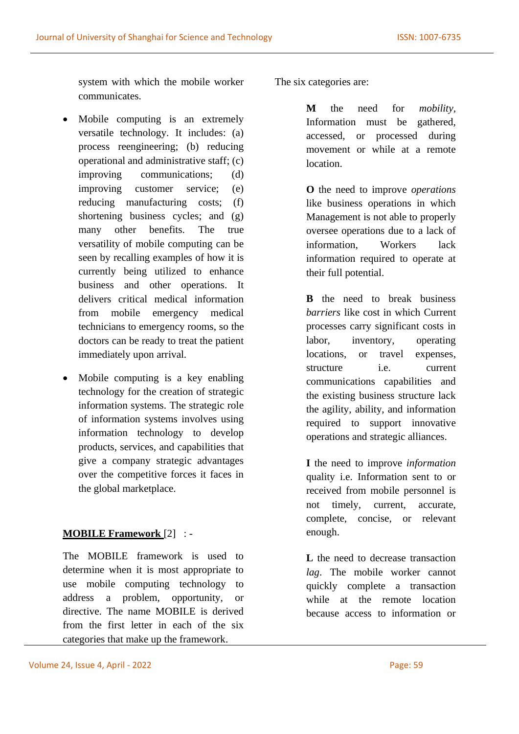system with which the mobile worker communicates.

- Mobile computing is an extremely versatile technology. It includes: (a) process reengineering; (b) reducing operational and administrative staff; (c) improving communications; (d) improving customer service; (e) reducing manufacturing costs; (f) shortening business cycles; and (g) many other benefits. The true versatility of mobile computing can be seen by recalling examples of how it is currently being utilized to enhance business and other operations. It delivers critical medical information from mobile emergency medical technicians to emergency rooms, so the doctors can be ready to treat the patient immediately upon arrival.
- Mobile computing is a key enabling technology for the creation of strategic information systems. The strategic role of information systems involves using information technology to develop products, services, and capabilities that give a company strategic advantages over the competitive forces it faces in the global marketplace.

# **MOBILE Framework** [2] : -

The MOBILE framework is used to determine when it is most appropriate to use mobile computing technology to address a problem, opportunity, or directive. The name MOBILE is derived from the first letter in each of the six categories that make up the framework.

The six categories are:

**M** the need for *mobility,*  Information must be gathered, accessed, or processed during movement or while at a remote location.

**O** the need to improve *operations* like business operations in which Management is not able to properly oversee operations due to a lack of information, Workers lack information required to operate at their full potential.

**B** the need to break business *barriers* like cost in which Current processes carry significant costs in labor, inventory, operating locations, or travel expenses, structure i.e. current communications capabilities and the existing business structure lack the agility, ability, and information required to support innovative operations and strategic alliances.

**I** the need to improve *information* quality i.e. Information sent to or received from mobile personnel is not timely, current, accurate, complete, concise, or relevant enough.

**L** the need to decrease transaction *lag*. The mobile worker cannot quickly complete a transaction while at the remote location because access to information or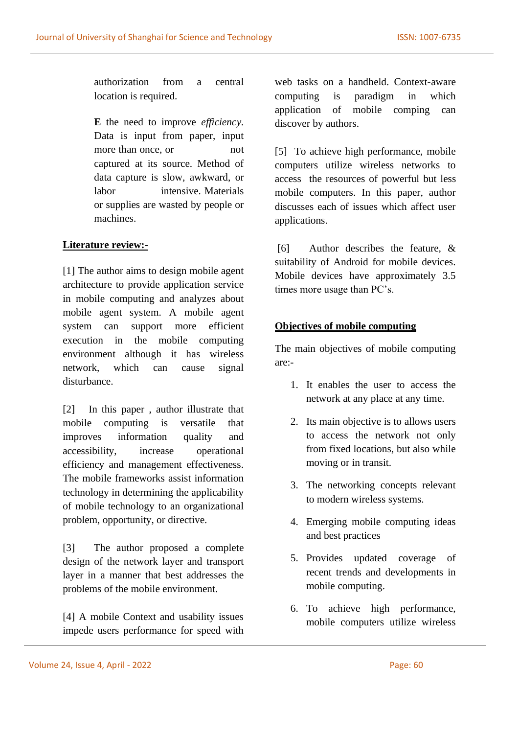authorization from a central location is required.

**E** the need to improve *efficiency.* Data is input from paper, input more than once, or mot captured at its source. Method of data capture is slow, awkward, or labor intensive. Materials or supplies are wasted by people or machines.

### **Literature review:-**

[1] The author aims to design mobile agent architecture to provide application service in mobile computing and analyzes about mobile agent system. A mobile agent system can support more efficient execution in the mobile computing environment although it has wireless network, which can cause signal disturbance.

[2] In this paper , author illustrate that mobile computing is versatile that improves information quality and accessibility, increase operational efficiency and management effectiveness. The mobile frameworks assist information technology in determining the applicability of mobile technology to an organizational problem, opportunity, or directive.

[3] The author proposed a complete design of the network layer and transport layer in a manner that best addresses the problems of the mobile environment.

[4] A mobile Context and usability issues impede users performance for speed with web tasks on a handheld. Context-aware computing is paradigm in which application of mobile comping can discover by authors.

[5] To achieve high performance, mobile computers utilize wireless networks to access the resources of powerful but less mobile computers. In this paper, author discusses each of issues which affect user applications.

[6] Author describes the feature, & suitability of Android for mobile devices. Mobile devices have approximately 3.5 times more usage than PC's.

# **Objectives of mobile computing**

The main objectives of mobile computing are:-

- 1. It enables the user to access the network at any place at any time.
- 2. Its main objective is to allows users to access the network not only from fixed locations, but also while moving or in transit.
- 3. The networking concepts relevant to modern wireless systems.
- 4. Emerging mobile computing ideas and best practices
- 5. Provides updated coverage of recent trends and developments in mobile computing.
- 6. To achieve high performance, mobile computers utilize wireless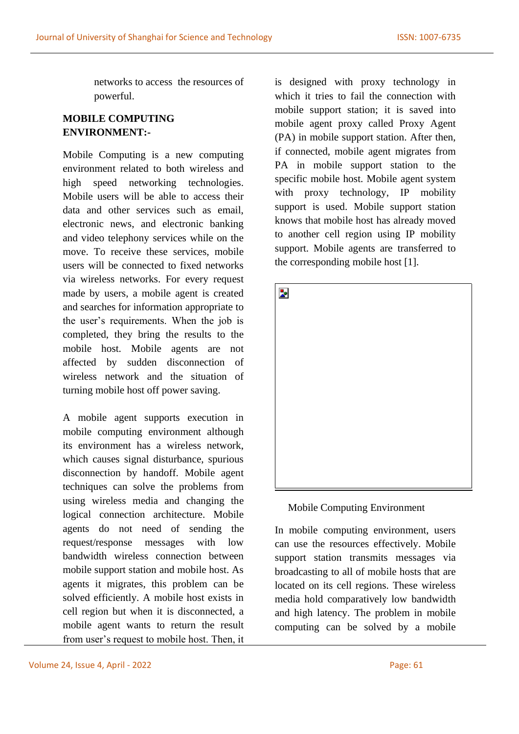networks to access the resources of powerful.

# **MOBILE COMPUTING ENVIRONMENT:-**

Mobile Computing is a new computing environment related to both wireless and high speed networking technologies. Mobile users will be able to access their data and other services such as email, electronic news, and electronic banking and video telephony services while on the move. To receive these services, mobile users will be connected to fixed networks via wireless networks. For every request made by users, a mobile agent is created and searches for information appropriate to the user's requirements. When the job is completed, they bring the results to the mobile host. Mobile agents are not affected by sudden disconnection of wireless network and the situation of turning mobile host off power saving.

A mobile agent supports execution in mobile computing environment although its environment has a wireless network, which causes signal disturbance, spurious disconnection by handoff. Mobile agent techniques can solve the problems from using wireless media and changing the logical connection architecture. Mobile agents do not need of sending the request/response messages with low bandwidth wireless connection between mobile support station and mobile host. As agents it migrates, this problem can be solved efficiently. A mobile host exists in cell region but when it is disconnected, a mobile agent wants to return the result from user's request to mobile host. Then, it is designed with proxy technology in which it tries to fail the connection with mobile support station; it is saved into mobile agent proxy called Proxy Agent (PA) in mobile support station. After then, if connected, mobile agent migrates from PA in mobile support station to the specific mobile host. Mobile agent system with proxy technology, IP mobility support is used. Mobile support station knows that mobile host has already moved to another cell region using IP mobility support. Mobile agents are transferred to the corresponding mobile host [1].



#### Mobile Computing Environment

In mobile computing environment, users can use the resources effectively. Mobile support station transmits messages via broadcasting to all of mobile hosts that are located on its cell regions. These wireless media hold comparatively low bandwidth and high latency. The problem in mobile computing can be solved by a mobile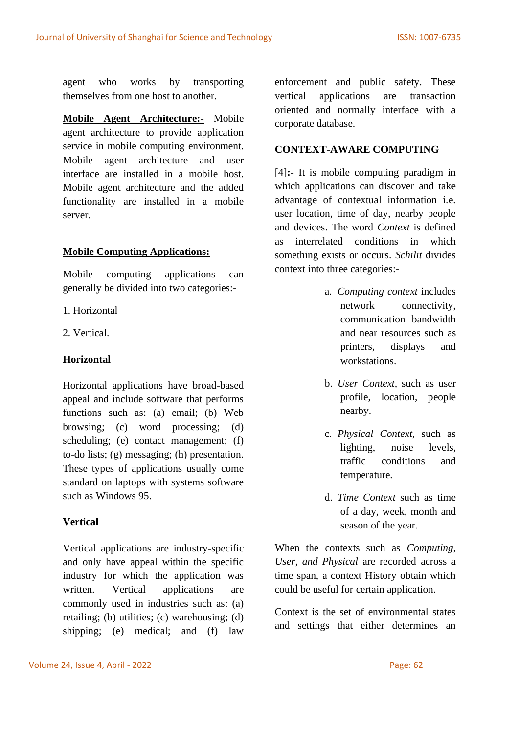agent who works by transporting themselves from one host to another.

**Mobile Agent Architecture:-** Mobile agent architecture to provide application service in mobile computing environment. Mobile agent architecture and user interface are installed in a mobile host. Mobile agent architecture and the added functionality are installed in a mobile server.

# **Mobile Computing Applications:**

Mobile computing applications can generally be divided into two categories:-

- 1. Horizontal
- 2. Vertical.

# **Horizontal**

Horizontal applications have broad-based appeal and include software that performs functions such as: (a) email; (b) Web browsing; (c) word processing; (d) scheduling; (e) contact management; (f) to-do lists; (g) messaging; (h) presentation. These types of applications usually come standard on laptops with systems software such as Windows 95.

# **Vertical**

Vertical applications are industry-specific and only have appeal within the specific industry for which the application was written. Vertical applications are commonly used in industries such as: (a) retailing; (b) utilities; (c) warehousing; (d) shipping; (e) medical; and (f) law

#### **CONTEXT-AWARE COMPUTING**

[4]**:-** It is mobile computing paradigm in which applications can discover and take advantage of contextual information i.e. user location, time of day, nearby people and devices. The word *Context* is defined as interrelated conditions in which something exists or occurs. *Schilit* divides context into three categories:-

- a. *Computing context* includes network connectivity, communication bandwidth and near resources such as printers, displays and workstations.
- b. *User Context,* such as user profile, location, people nearby.
- c. *Physical Context,* such as lighting, noise levels, traffic conditions and temperature.
- d. *Time Context* such as time of a day, week, month and season of the year.

When the contexts such as *Computing, User, and Physical* are recorded across a time span, a context History obtain which could be useful for certain application.

Context is the set of environmental states and settings that either determines an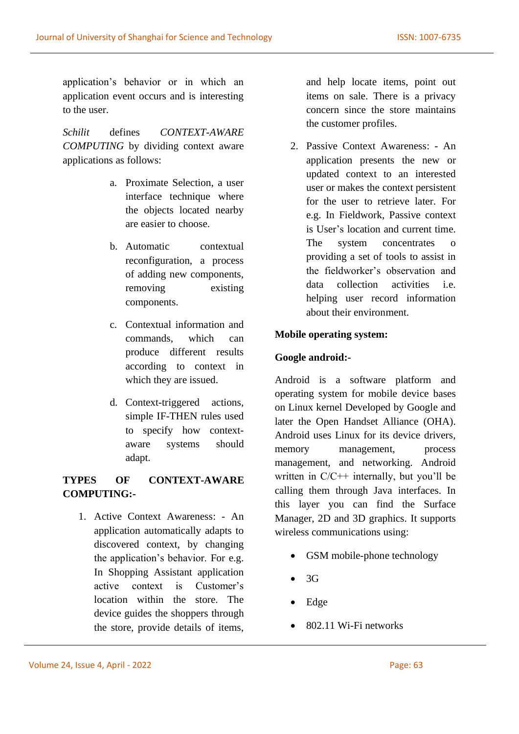application's behavior or in which an application event occurs and is interesting to the user.

*Schilit* defines *CONTEXT-AWARE COMPUTING* by dividing context aware applications as follows:

- a. Proximate Selection, a user interface technique where the objects located nearby are easier to choose.
- b. Automatic contextual reconfiguration, a process of adding new components, removing existing components.
- c. Contextual information and commands, which can produce different results according to context in which they are issued.
- d. Context-triggered actions, simple IF-THEN rules used to specify how contextaware systems should adapt.

# **TYPES OF CONTEXT-AWARE COMPUTING:-**

1. Active Context Awareness: - An application automatically adapts to discovered context, by changing the application's behavior. For e.g. In Shopping Assistant application active context is Customer's location within the store. The device guides the shoppers through the store, provide details of items,

and help locate items, point out items on sale. There is a privacy concern since the store maintains the customer profiles.

2. Passive Context Awareness: - An application presents the new or updated context to an interested user or makes the context persistent for the user to retrieve later. For e.g. In Fieldwork, Passive context is User's location and current time. The system concentrates o providing a set of tools to assist in the fieldworker's observation and data collection activities i.e. helping user record information about their environment.

# **Mobile operating system:**

# **Google android:-**

Android is a software platform and operating system for mobile device bases on Linux kernel Developed by Google and later the Open Handset Alliance (OHA). Android uses Linux for its device drivers, memory management, process management, and networking. Android written in C/C++ internally, but you'll be calling them through Java interfaces. In this layer you can find the Surface Manager, 2D and 3D graphics. It supports wireless communications using:

- GSM mobile-phone technology
- $3G$
- Edge
- 802.11 Wi-Fi networks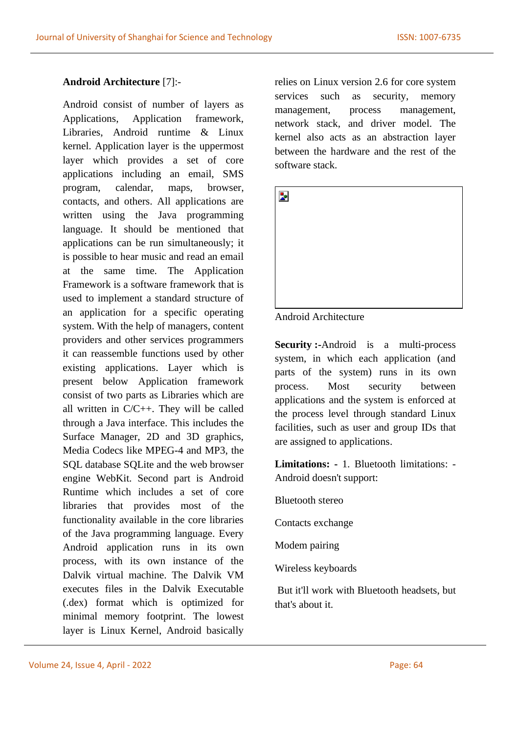#### **Android Architecture** [7]:-

Android consist of number of layers as Applications, Application framework, Libraries, Android runtime & Linux kernel. Application layer is the uppermost layer which provides a set of core applications including an email, SMS program, calendar, maps, browser, contacts, and others. All applications are written using the Java programming language. It should be mentioned that applications can be run simultaneously; it is possible to hear music and read an email at the same time. The Application Framework is a software framework that is used to implement a standard structure of an application for a specific operating system. With the help of managers, content providers and other services programmers it can reassemble functions used by other existing applications. Layer which is present below Application framework consist of two parts as Libraries which are all written in C/C++. They will be called through a Java interface. This includes the Surface Manager, 2D and 3D graphics, Media Codecs like MPEG-4 and MP3, the SQL database SQLite and the web browser engine WebKit. Second part is Android Runtime which includes a set of core libraries that provides most of the functionality available in the core libraries of the Java programming language. Every Android application runs in its own process, with its own instance of the Dalvik virtual machine. The Dalvik VM executes files in the Dalvik Executable (.dex) format which is optimized for minimal memory footprint. The lowest layer is Linux Kernel, Android basically

relies on Linux version 2.6 for core system services such as security, memory management, process management, network stack, and driver model. The kernel also acts as an abstraction layer between the hardware and the rest of the software stack.

| Þ |  |  |  |
|---|--|--|--|
|   |  |  |  |
|   |  |  |  |
|   |  |  |  |
|   |  |  |  |
|   |  |  |  |

#### Android Architecture

**Security :-**Android is a multi-process system, in which each application (and parts of the system) runs in its own process. Most security between applications and the system is enforced at the process level through standard Linux facilities, such as user and group IDs that are assigned to applications.

**Limitations: -** 1. Bluetooth limitations: - Android doesn't support:

Bluetooth stereo

Contacts exchange

Modem pairing

Wireless keyboards

But it'll work with Bluetooth headsets, but that's about it.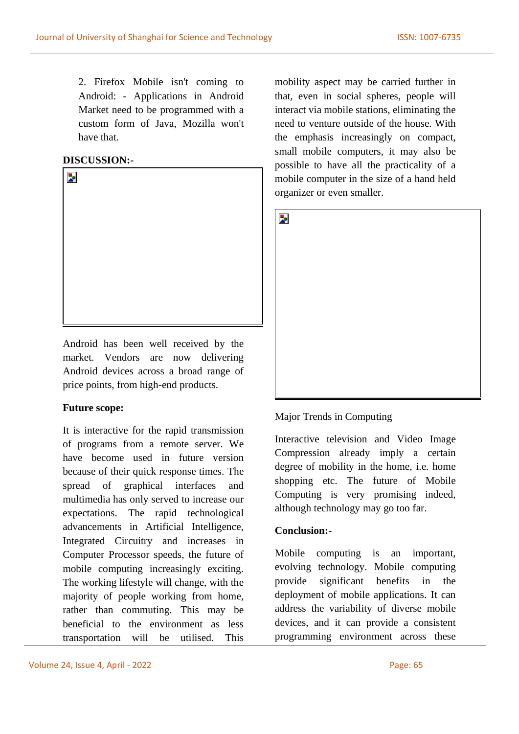2. Firefox Mobile isn't coming to Android: - Applications in Android Market need to be programmed with a custom form of Java, Mozilla won't have that.

# **DISCUSSION:-**



Android has been well received by the market. Vendors are now delivering Android devices across a broad range of price points, from high-end products.

# **Future scope:**

It is interactive for the rapid transmission of programs from a remote server. We have become used in future version because of their quick response times. The spread of graphical interfaces and multimedia has only served to increase our expectations. The rapid technological advancements in Artificial Intelligence, Integrated Circuitry and increases in Computer Processor speeds, the future of mobile computing increasingly exciting. The working lifestyle will change, with the majority of people working from home, rather than commuting. This may be beneficial to the environment as less transportation will be utilised. This

mobility aspect may be carried further in that, even in social spheres, people will interact via mobile stations, eliminating the need to venture outside of the house. With the emphasis increasingly on compact, small mobile computers, it may also be possible to have all the practicality of a mobile computer in the size of a hand held organizer or even smaller.



# Major Trends in Computing

[Interactive television](http://www.doc.ic.ac.uk/~nd/surprise_96/journal/vol4/vk5/report.html#interactv) and [Video Image](http://www.doc.ic.ac.uk/~nd/surprise_96/journal/vol4/vk5/report.html#imagecomp)  [Compression](http://www.doc.ic.ac.uk/~nd/surprise_96/journal/vol4/vk5/report.html#imagecomp) already imply a certain degree of mobility in the home, i.e. home shopping etc. The future of Mobile Computing is very promising indeed, although technology may go too far.

#### **Conclusion:-**

Mobile computing is an important, evolving technology. Mobile computing provide significant benefits in the deployment of mobile applications. It can address the variability of diverse mobile devices, and it can provide a consistent programming environment across these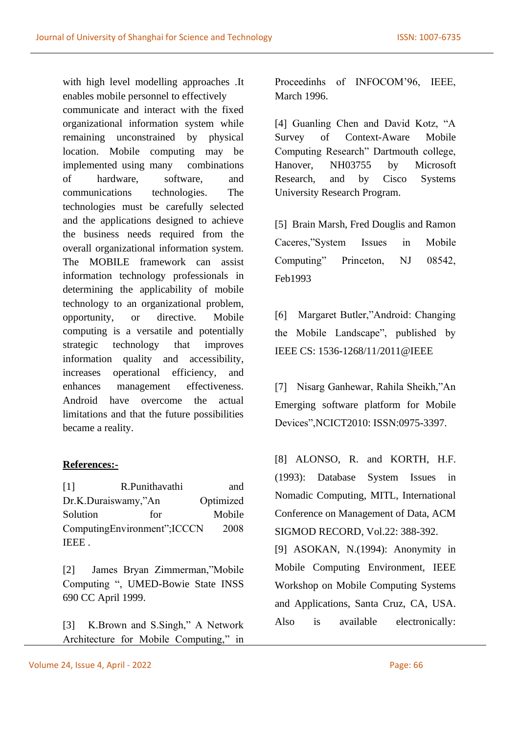with high level modelling approaches .It enables mobile personnel to effectively communicate and interact with the fixed organizational information system while remaining unconstrained by physical location. Mobile computing may be implemented using many combinations of hardware, software, and communications technologies. The technologies must be carefully selected and the applications designed to achieve the business needs required from the overall organizational information system. The MOBILE framework can assist information technology professionals in determining the applicability of mobile technology to an organizational problem, opportunity, or directive. Mobile computing is a versatile and potentially strategic technology that improves information quality and accessibility, increases operational efficiency, and enhances management effectiveness. Android have overcome the actual limitations and that the future possibilities became a reality.

# **References:-**

[1] R.Punithavathi and Dr.K.Duraiswamy,"An Optimized Solution for Mobile ComputingEnvironment";ICCCN 2008 IEEE .

[2] James Bryan Zimmerman,"Mobile Computing ", UMED-Bowie State INSS 690 CC April 1999.

[3] K.Brown and S.Singh," A Network Architecture for Mobile Computing," in Proceedinhs of INFOCOM'96, IEEE, March 1996.

[4] Guanling Chen and David Kotz, "A Survey of Context-Aware Mobile Computing Research" Dartmouth college, Hanover, NH03755 by Microsoft Research, and by Cisco Systems University Research Program.

[5] Brain Marsh, Fred Douglis and Ramon Caceres,"System Issues in Mobile Computing" Princeton, NJ 08542, Feb1993

[6] Margaret Butler,"Android: Changing the Mobile Landscape", published by IEEE CS: 1536-1268/11/2011@IEEE

[7] Nisarg Ganhewar, Rahila Sheikh,"An Emerging software platform for Mobile Devices",NCICT2010: ISSN:0975-3397.

[8] ALONSO, R. and KORTH, H.F. (1993): Database System Issues in Nomadic Computing, MITL, International Conference on Management of Data, ACM SIGMOD RECORD, Vol.22: 388-392.

[9] ASOKAN, N.(1994): Anonymity in Mobile Computing Environment, IEEE Workshop on Mobile Computing Systems and Applications, Santa Cruz, CA, USA. Also is available electronically: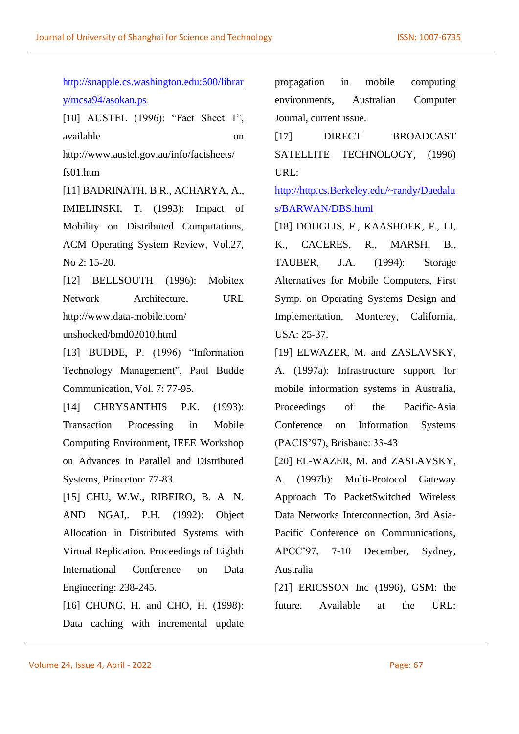[http://snapple.cs.washington.edu:600/librar](http://snapple.cs.washington.edu:600/library/mcsa94/asokan.ps) [y/mcsa94/asokan.ps](http://snapple.cs.washington.edu:600/library/mcsa94/asokan.ps) [10] AUSTEL (1996): "Fact Sheet 1", available on http://www.austel.gov.au/info/factsheets/ fs01.htm [11] BADRINATH, B.R., ACHARYA, A., IMIELINSKI, T. (1993): Impact of Mobility on Distributed Computations, ACM Operating System Review, Vol.27, No 2: 15-20. [12] BELLSOUTH (1996): Mobitex Network Architecture, URL http://www.data-mobile.com/ unshocked/bmd02010.html [13] BUDDE, P. (1996) "Information Technology Management", Paul Budde Communication, Vol. 7: 77-95. [14] CHRYSANTHIS P.K. (1993): Transaction Processing in Mobile Computing Environment, IEEE Workshop on Advances in Parallel and Distributed Systems, Princeton: 77-83. [15] CHU, W.W., RIBEIRO, B. A. N. AND NGAI,. P.H. (1992): Object Allocation in Distributed Systems with Virtual Replication. Proceedings of Eighth International Conference on Data Engineering: 238-245. URL: USA: 25-37. Australia

[16] CHUNG, H. and CHO, H. (1998): Data caching with incremental update

propagation in mobile computing environments, Australian Computer Journal, current issue.

[17] DIRECT BROADCAST SATELLITE TECHNOLOGY, (1996)

[http://http.cs.Berkeley.edu/~randy/Daedalu](http://http.cs.berkeley.edu/~randy/Daedalus/BARWAN/DBS.html) [s/BARWAN/DBS.html](http://http.cs.berkeley.edu/~randy/Daedalus/BARWAN/DBS.html)

[18] DOUGLIS, F., KAASHOEK, F., LI, K., CACERES, R., MARSH, B., TAUBER, J.A. (1994): Storage Alternatives for Mobile Computers, First Symp. on Operating Systems Design and Implementation, Monterey, California,

[19] ELWAZER, M. and ZASLAVSKY, A. (1997a): Infrastructure support for mobile information systems in Australia, Proceedings of the Pacific-Asia Conference on Information Systems (PACIS'97), Brisbane: 33-43

[20] EL-WAZER, M. and ZASLAVSKY, A. (1997b): Multi-Protocol Gateway Approach To PacketSwitched Wireless Data Networks Interconnection, 3rd Asia-Pacific Conference on Communications, APCC'97, 7-10 December, Sydney,

[21] ERICSSON Inc (1996), GSM: the future. Available at the URL: